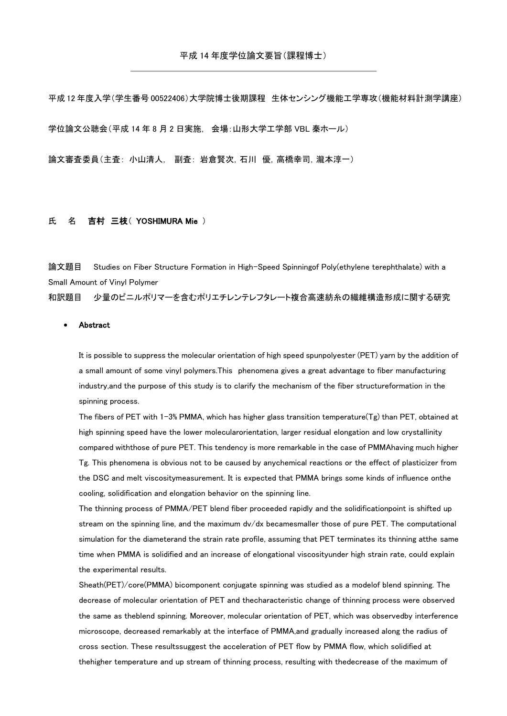平成 12 年度入学(学生番号 00522406)大学院博士後期課程 生体センシング機能工学専攻(機能材料計測学講座) 学位論文公聴会(平成 14 年 8 月 2 日実施, 会場:山形大学工学部 VBL 秦ホール)

論文審査委員(主査: 小山清人, 副査: 岩倉賢次,石川 優,高橋幸司,瀧本淳一)

## 氏 名 吉村 三枝 (YOSHIMURA Mie)

論文題目 Studies on Fiber Structure Formation in High-Speed Spinningof Poly(ethylene terephthalate) with a Small Amount of Vinyl Polymer

和訳題目 少量のビニルポリマーを含むポリエチレンテレフタレート複合高速紡糸の繊維構造形成に関する研究

## Abstract

It is possible to suppress the molecular orientation of high speed spunpolyester (PET) yarn by the addition of a small amount of some vinyl polymers.This phenomena gives a great advantage to fiber manufacturing industry,and the purpose of this study is to clarify the mechanism of the fiber structureformation in the spinning process.

The fibers of PET with 1-3% PMMA, which has higher glass transition temperature( $Tg$ ) than PET, obtained at high spinning speed have the lower molecularorientation, larger residual elongation and low crystallinity compared withthose of pure PET. This tendency is more remarkable in the case of PMMAhaving much higher Tg. This phenomena is obvious not to be caused by anychemical reactions or the effect of plasticizer from the DSC and melt viscositymeasurement. It is expected that PMMA brings some kinds of influence onthe cooling, solidification and elongation behavior on the spinning line.

The thinning process of PMMA/PET blend fiber proceeded rapidly and the solidificationpoint is shifted up stream on the spinning line, and the maximum dv/dx becamesmaller those of pure PET. The computational simulation for the diameterand the strain rate profile, assuming that PET terminates its thinning atthe same time when PMMA is solidified and an increase of elongational viscosityunder high strain rate, could explain the experimental results.

Sheath(PET)/core(PMMA) bicomponent conjugate spinning was studied as a modelof blend spinning. The decrease of molecular orientation of PET and thecharacteristic change of thinning process were observed the same as theblend spinning. Moreover, molecular orientation of PET, which was observedby interference microscope, decreased remarkably at the interface of PMMA,and gradually increased along the radius of cross section. These resultssuggest the acceleration of PET flow by PMMA flow, which solidified at thehigher temperature and up stream of thinning process, resulting with thedecrease of the maximum of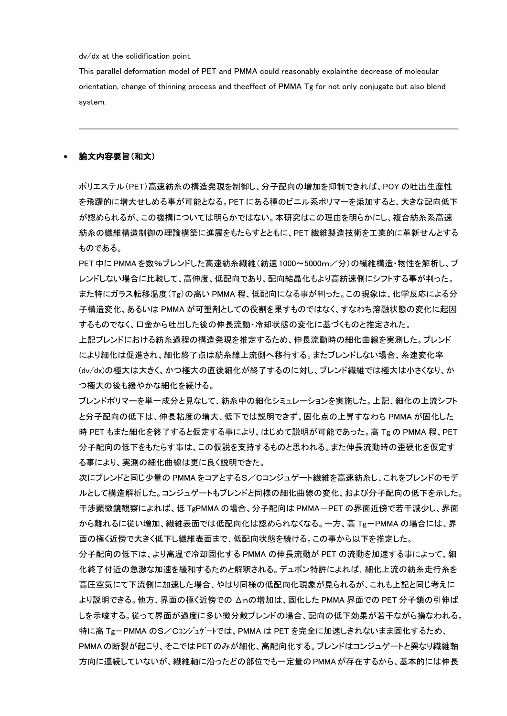dv/dx at the solidification point.

This parallel deformation model of PET and PMMA could reasonably explainthe decrease of molecular orientation, change of thinning process and theeffect of PMMA Tg for not only conjugate but also blend system.

## 論文内容要旨(和文)

ポリエステル(PET)高速紡糸の構造発現を制御し、分子配向の増加を抑制できれば、POY の吐出生産性 を飛躍的に増大せしめる事が可能となる。PET にある種のビニル系ポリマーを添加すると、大きな配向低下 が認められるが、この機構については明らかではない。本研究はこの理由を明らかにし、複合紡糸系高速 紡糸の繊維構造制御の理論構築に進展をもたらすとともに、PET 繊維製造技術を工業的に革新せんとする ものである。

PET中に PMMA を数%ブレンドした高速紡糸繊維(紡速 1000~5000m/分)の繊維構造・物性を解析し、ブ レンドしない場合に比較して、高伸度、低配向であり、配向結晶化もより高紡速側にシフトする事が判った。 また特にガラス転移温度(Tg)の高い PMMA 程、低配向になる事が判った。この現象は、化学反応による分 子構造変化、あるいは PMMA が可塑剤としての役割を果すものではなく、すなわち溶融状態の変化に起因 するものでなく、口金から吐出した後の伸長流動・冷却状態の変化に基づくものと推定された。

上記ブレンドにおける紡糸過程の構造発現を推定するため、伸長流動時の細化曲線を実測した。ブレンド により細化は促進され、細化終了点は紡糸線上流側へ移行する。またブレンドしない場合、糸速変化率 (dv/dx)の極大は大きく、かつ極大の直後細化が終了するのに対し、ブレンド繊維では極大は小さくなり、か つ極大の後も緩やかな細化を続ける。

ブレンドポリマーを単一成分と見なして、紡糸中の細化シミュレーションを実施した。上記、細化の上流シフト と分子配向の低下は、伸長粘度の増大、低下では説明できず、固化点の上昇すなわち PMMA が固化した 時 PET もまた細化を終了すると仮定する事により、はじめて説明が可能であった。高 Tg の PMMA 程、PET 分子配向の低下をもたらす事は、この仮説を支持するものと思われる。また伸長流動時の歪硬化を仮定す る事により、実測の細化曲線は更に良く説明できた。

次にブレンドと同じ少量の PMMA をコアとするS/Cコンジュゲート繊維を高速紡糸し、これをブレンドのモデ ルとして構造解析した。コンジュゲートもブレンドと同様の細化曲線の変化、および分子配向の低下を示した。 干渉顕微鏡観察によれば、低 TgPMMA の場合、分子配向は PMMA-PET の界面近傍で若干減少し、界面 から離れるに従い増加、繊維表面では低配向化は認められなくなる。一方、高 Tg-PMMA の場合には、界 面の極く近傍で大きく低下し繊維表面まで、低配向状態を続ける。この事から以下を推定した。

分子配向の低下は、より高温で冷却固化する PMMA の伸長流動が PET の流動を加速する事によって、細 化終了付近の急激な加速を緩和するためと解釈される。デュポン特許によれば,細化上流の紡糸走行糸を 高圧空気にて下流側に加速した場合、やはり同様の低配向化現象が見られるが、これも上記と同じ考えに より説明できる。他方、界面の極く近傍での Δnの増加は、固化した PMMA 界面での PET 分子鎖の引伸ば しを示唆する。従って界面が過度に多い微分散ブレンドの場合、配向の低下効果が若干ながら損なわれる。 特に高 Tg-PMMA のS/Cコンジュゲートでは、PMMA は PET を完全に加速しきれないまま固化するため、 PMMAの断裂が起こり、そこではPETのみが細化、高配向化する。ブレンドはコンジュゲートと異なり繊維軸 方向に連続していないが、繊維軸に沿ったどの部位でも一定量の PMMAが存在するから、基本的には伸長